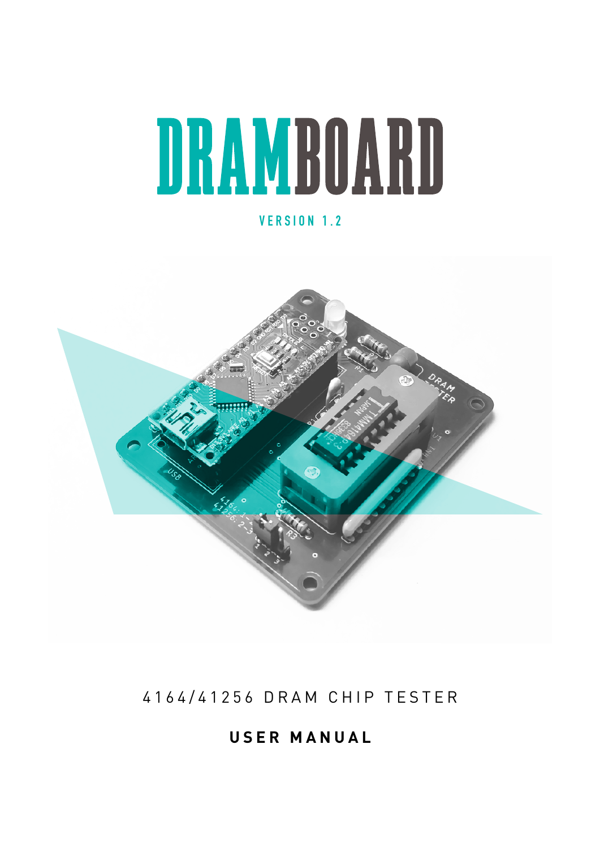# DRAMBOARD

## **VERSION 1.2**



# 4164/41256 DRAM CHIP TESTER

**USER MANUAL**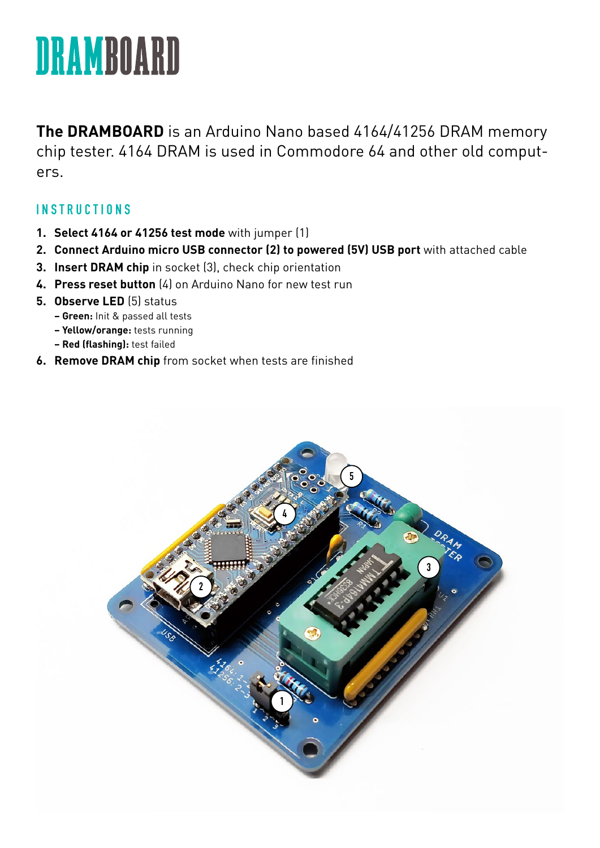

**The DRAMBOARD** is an Arduino Nano based 4164/41256 DRAM memory chip tester. 4164 DRAM is used in Commodore 64 and other old computers.

#### **INSTRUCTIONS**

- **1. Select 4164 or 41256 test mode** with jumper (1)
- **2. Connect Arduino micro USB connector (2) to powered (5V) USB port** with attached cable
- **3. Insert DRAM chip** in socket (3), check chip orientation
- **4. Press reset button** (4) on Arduino Nano for new test run
- **5. Observe LED** (5) status
	- **Green:** Init & passed all tests
	- **Yellow/orange:** tests running
	- **Red (flashing):** test failed
- **6. Remove DRAM chip** from socket when tests are finished